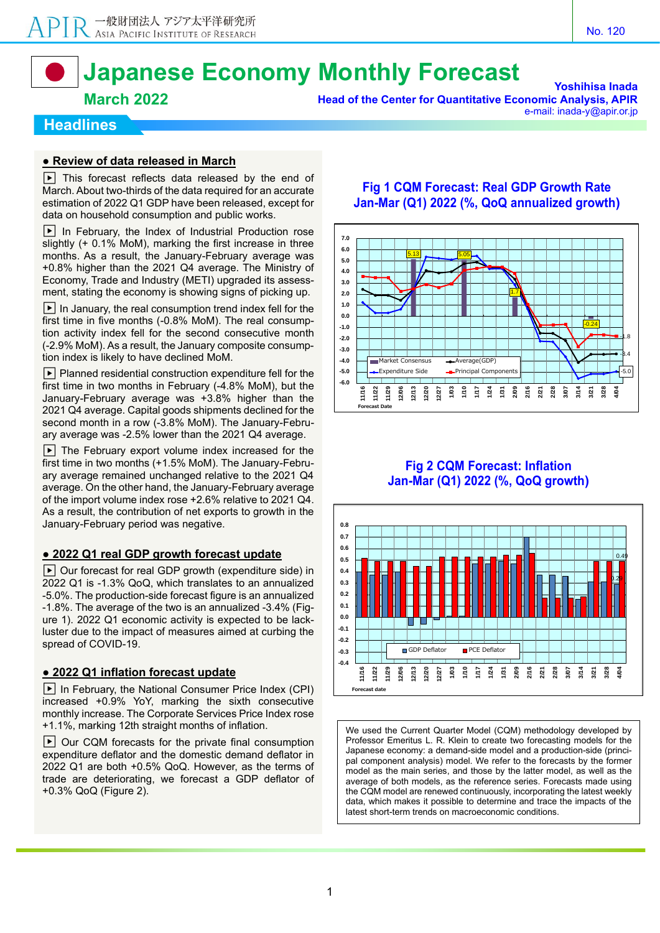# **Japanese Economy Monthly Forecast**

#### **March 2022**

**Yoshihisa Inada Head of the Center for Quantitative Economic Analysis, APIR** e-mail: inada-y@apir.or.jp

#### **Headlines**

#### **● Review of data released in March**

 $\boxed{\blacktriangleright}$  This forecast reflects data released by the end of March. About two-thirds of the data required for an accurate estimation of 2022 Q1 GDP have been released, except for data on household consumption and public works.

▶ In February, the Index of Industrial Production rose slightly (+ 0.1% MoM), marking the first increase in three months. As a result, the January-February average was +0.8% higher than the 2021 Q4 average. The Ministry of Economy, Trade and Industry (METI) upgraded its assessment, stating the economy is showing signs of picking up.

 $\blacktriangleright$  In January, the real consumption trend index fell for the first time in five months (-0.8% MoM). The real consumption activity index fell for the second consecutive month (-2.9% MoM). As a result, the January composite consumption index is likely to have declined MoM.

 $\blacktriangleright$  Planned residential construction expenditure fell for the first time in two months in February (-4.8% MoM), but the January-February average was +3.8% higher than the 2021 Q4 average. Capital goods shipments declined for the second month in a row (-3.8% MoM). The January-February average was -2.5% lower than the 2021 Q4 average.

 $|\bullet|$  The February export volume index increased for the first time in two months (+1.5% MoM). The January-February average remained unchanged relative to the 2021 Q4 average. On the other hand, the January-February average of the import volume index rose +2.6% relative to 2021 Q4. As a result, the contribution of net exports to growth in the January-February period was negative.

#### **● 2022 Q1 real GDP growth forecast update**

▶ Our forecast for real GDP growth (expenditure side) in 2022 Q1 is -1.3% QoQ, which translates to an annualized -5.0%. The production-side forecast figure is an annualized -1.8%. The average of the two is an annualized -3.4% (Figure 1). 2022 Q1 economic activity is expected to be lackluster due to the impact of measures aimed at curbing the spread of COVID-19.

#### **● 2022 Q1 inflation forecast update**

 $\blacktriangleright$  In February, the National Consumer Price Index (CPI) increased +0.9% YoY, marking the sixth consecutive monthly increase. The Corporate Services Price Index rose +1.1%, marking 12th straight months of inflation.

▶ Our CQM forecasts for the private final consumption expenditure deflator and the domestic demand deflator in 2022 Q1 are both +0.5% QoQ. However, as the terms of trade are deteriorating, we forecast a GDP deflator of +0.3% QoQ (Figure 2).

#### **Fig 1 CQM Forecast: Real GDP Growth Rate Jan-Mar (Q1) 2022 (%, QoQ annualized growth)**



#### **Fig 2 CQM Forecast: Inflation Jan-Mar (Q1) 2022 (%, QoQ growth)**



We used the Current Quarter Model (CQM) methodology developed by Professor Emeritus L. R. Klein to create two forecasting models for the Japanese economy: a demand-side model and a production-side (principal component analysis) model. We refer to the forecasts by the former model as the main series, and those by the latter model, as well as the average of both models, as the reference series. Forecasts made using the CQM model are renewed continuously, incorporating the latest weekly data, which makes it possible to determine and trace the impacts of the latest short-term trends on macroeconomic conditions.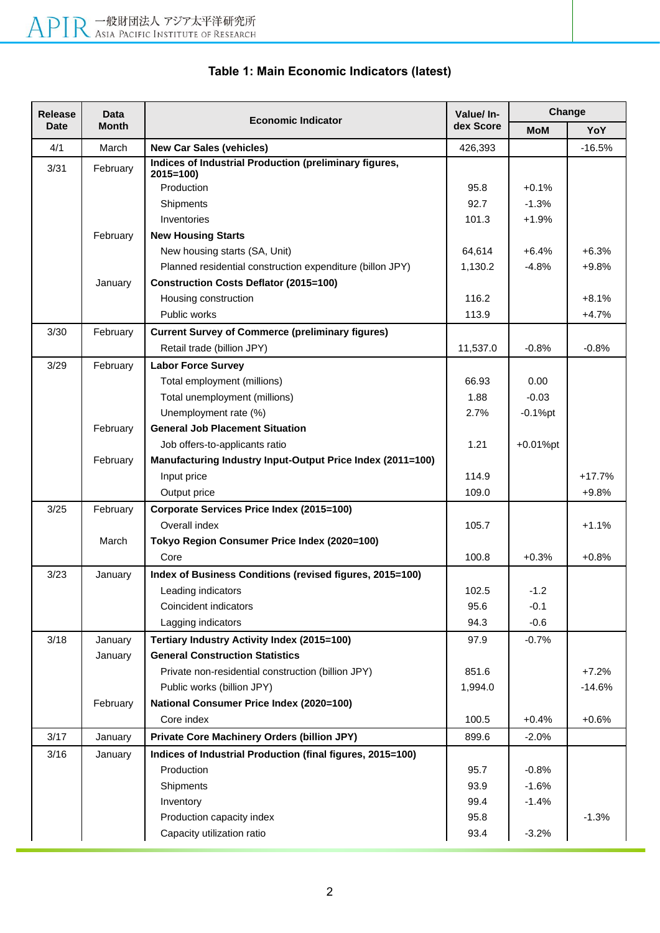| <b>Release</b> | <b>Data</b>  | <b>Economic Indicator</b>                                              | Value/ In- | Change      |          |  |
|----------------|--------------|------------------------------------------------------------------------|------------|-------------|----------|--|
| <b>Date</b>    | <b>Month</b> |                                                                        | dex Score  | <b>MoM</b>  | YoY      |  |
| 4/1            | March        | <b>New Car Sales (vehicles)</b>                                        | 426,393    |             | $-16.5%$ |  |
| 3/31           | February     | Indices of Industrial Production (preliminary figures,<br>$2015 = 100$ |            |             |          |  |
|                |              | Production                                                             | 95.8       | $+0.1%$     |          |  |
|                |              | Shipments                                                              | 92.7       | $-1.3%$     |          |  |
|                |              | Inventories                                                            | 101.3      | $+1.9%$     |          |  |
|                | February     | <b>New Housing Starts</b>                                              |            |             |          |  |
|                |              | New housing starts (SA, Unit)                                          | 64,614     | +6.4%       | $+6.3%$  |  |
|                |              | Planned residential construction expenditure (billon JPY)              | 1,130.2    | $-4.8%$     | $+9.8%$  |  |
|                | January      | <b>Construction Costs Deflator (2015=100)</b>                          |            |             |          |  |
|                |              | Housing construction                                                   | 116.2      |             | $+8.1%$  |  |
|                |              | Public works                                                           | 113.9      |             | $+4.7%$  |  |
| 3/30           | February     | <b>Current Survey of Commerce (preliminary figures)</b>                |            |             |          |  |
|                |              | Retail trade (billion JPY)                                             | 11,537.0   | $-0.8%$     | $-0.8%$  |  |
| 3/29           | February     | <b>Labor Force Survey</b>                                              |            |             |          |  |
|                |              | Total employment (millions)                                            | 66.93      | 0.00        |          |  |
|                |              | Total unemployment (millions)                                          | 1.88       | $-0.03$     |          |  |
|                |              | Unemployment rate (%)                                                  | 2.7%       | $-0.1%$ pt  |          |  |
|                | February     | <b>General Job Placement Situation</b>                                 |            |             |          |  |
|                |              | Job offers-to-applicants ratio                                         | 1.21       | $+0.01%$ pt |          |  |
|                | February     | Manufacturing Industry Input-Output Price Index (2011=100)             |            |             |          |  |
|                |              | Input price                                                            | 114.9      |             | $+17.7%$ |  |
|                |              | Output price                                                           | 109.0      |             | $+9.8%$  |  |
| 3/25           | February     | Corporate Services Price Index (2015=100)                              |            |             |          |  |
|                |              | Overall index                                                          | 105.7      |             | $+1.1%$  |  |
|                | March        | Tokyo Region Consumer Price Index (2020=100)                           |            |             |          |  |
|                |              | Core                                                                   | 100.8      | $+0.3%$     | $+0.8%$  |  |
| 3/23           | January      | Index of Business Conditions (revised figures, 2015=100)               |            |             |          |  |
|                |              | Leading indicators                                                     | 102.5      | $-1.2$      |          |  |
|                |              | Coincident indicators                                                  | 95.6       | $-0.1$      |          |  |
|                |              | Lagging indicators                                                     | 94.3       | $-0.6$      |          |  |
| 3/18           | January      | Tertiary Industry Activity Index (2015=100)                            | 97.9       | $-0.7%$     |          |  |
|                | January      | <b>General Construction Statistics</b>                                 |            |             |          |  |
|                |              | Private non-residential construction (billion JPY)                     | 851.6      |             | $+7.2%$  |  |
|                |              | Public works (billion JPY)                                             | 1,994.0    |             | $-14.6%$ |  |
|                | February     | National Consumer Price Index (2020=100)                               |            |             |          |  |
|                |              | Core index                                                             | 100.5      | $+0.4%$     | $+0.6%$  |  |
| 3/17           | January      | <b>Private Core Machinery Orders (billion JPY)</b>                     | 899.6      | $-2.0%$     |          |  |
| 3/16           | January      | Indices of Industrial Production (final figures, 2015=100)             |            |             |          |  |
|                |              | Production                                                             | 95.7       | $-0.8%$     |          |  |
|                |              | Shipments                                                              | 93.9       | $-1.6%$     |          |  |
|                |              | Inventory                                                              | 99.4       | $-1.4%$     |          |  |
|                |              | Production capacity index                                              | 95.8       |             | $-1.3%$  |  |
|                |              | Capacity utilization ratio                                             | 93.4       | $-3.2%$     |          |  |

# **Table 1: Main Economic Indicators (latest)**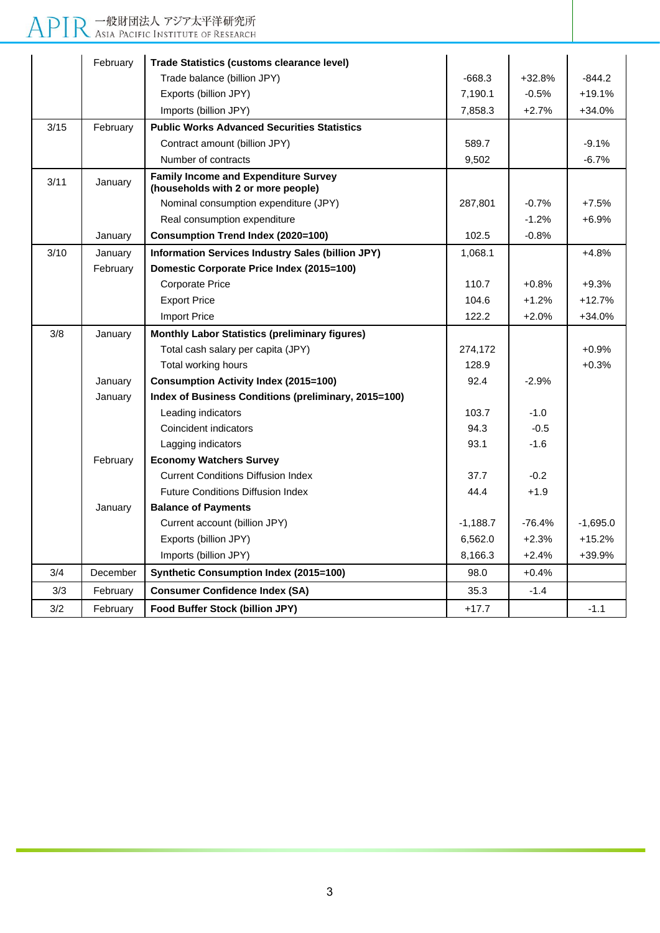# APIR 一般財団法人 アジア太平洋研究所

|      | February | <b>Trade Statistics (customs clearance level)</b>                                 |            |          |            |
|------|----------|-----------------------------------------------------------------------------------|------------|----------|------------|
|      |          | Trade balance (billion JPY)                                                       | $-668.3$   | $+32.8%$ | $-844.2$   |
|      |          | Exports (billion JPY)                                                             | 7,190.1    | $-0.5%$  | $+19.1%$   |
|      |          | Imports (billion JPY)                                                             | 7,858.3    | $+2.7%$  | $+34.0%$   |
| 3/15 | February | <b>Public Works Advanced Securities Statistics</b>                                |            |          |            |
|      |          | Contract amount (billion JPY)                                                     | 589.7      |          | $-9.1%$    |
|      |          | Number of contracts                                                               | 9,502      |          | $-6.7%$    |
| 3/11 | January  | <b>Family Income and Expenditure Survey</b><br>(households with 2 or more people) |            |          |            |
|      |          | Nominal consumption expenditure (JPY)                                             | 287,801    | $-0.7%$  | $+7.5%$    |
|      |          | Real consumption expenditure                                                      |            | $-1.2%$  | $+6.9%$    |
|      | January  | <b>Consumption Trend Index (2020=100)</b>                                         | 102.5      | $-0.8%$  |            |
| 3/10 | January  | Information Services Industry Sales (billion JPY)                                 | 1,068.1    |          | $+4.8%$    |
|      | February | Domestic Corporate Price Index (2015=100)                                         |            |          |            |
|      |          | <b>Corporate Price</b>                                                            | 110.7      | $+0.8%$  | $+9.3%$    |
|      |          | <b>Export Price</b>                                                               | 104.6      | $+1.2%$  | $+12.7%$   |
|      |          | <b>Import Price</b>                                                               | 122.2      | $+2.0%$  | +34.0%     |
| 3/8  | January  | <b>Monthly Labor Statistics (preliminary figures)</b>                             |            |          |            |
|      |          | Total cash salary per capita (JPY)                                                | 274,172    |          | $+0.9%$    |
|      |          | Total working hours                                                               | 128.9      |          | $+0.3%$    |
|      | January  | <b>Consumption Activity Index (2015=100)</b>                                      | 92.4       | $-2.9%$  |            |
|      | January  | Index of Business Conditions (preliminary, 2015=100)                              |            |          |            |
|      |          | Leading indicators                                                                | 103.7      | $-1.0$   |            |
|      |          | Coincident indicators                                                             | 94.3       | $-0.5$   |            |
|      |          | Lagging indicators                                                                | 93.1       | $-1.6$   |            |
|      | February | <b>Economy Watchers Survey</b>                                                    |            |          |            |
|      |          | <b>Current Conditions Diffusion Index</b>                                         | 37.7       | $-0.2$   |            |
|      |          | <b>Future Conditions Diffusion Index</b>                                          | 44.4       | $+1.9$   |            |
|      | January  | <b>Balance of Payments</b>                                                        |            |          |            |
|      |          | Current account (billion JPY)                                                     | $-1,188.7$ | $-76.4%$ | $-1.695.0$ |
|      |          | Exports (billion JPY)                                                             | 6,562.0    | $+2.3%$  | $+15.2%$   |
|      |          | Imports (billion JPY)                                                             | 8,166.3    | $+2.4%$  | +39.9%     |
| 3/4  | December | <b>Synthetic Consumption Index (2015=100)</b>                                     | 98.0       | $+0.4%$  |            |
| 3/3  | February | <b>Consumer Confidence Index (SA)</b>                                             | 35.3       | $-1.4$   |            |
| 3/2  | February | Food Buffer Stock (billion JPY)                                                   | $+17.7$    |          | $-1.1$     |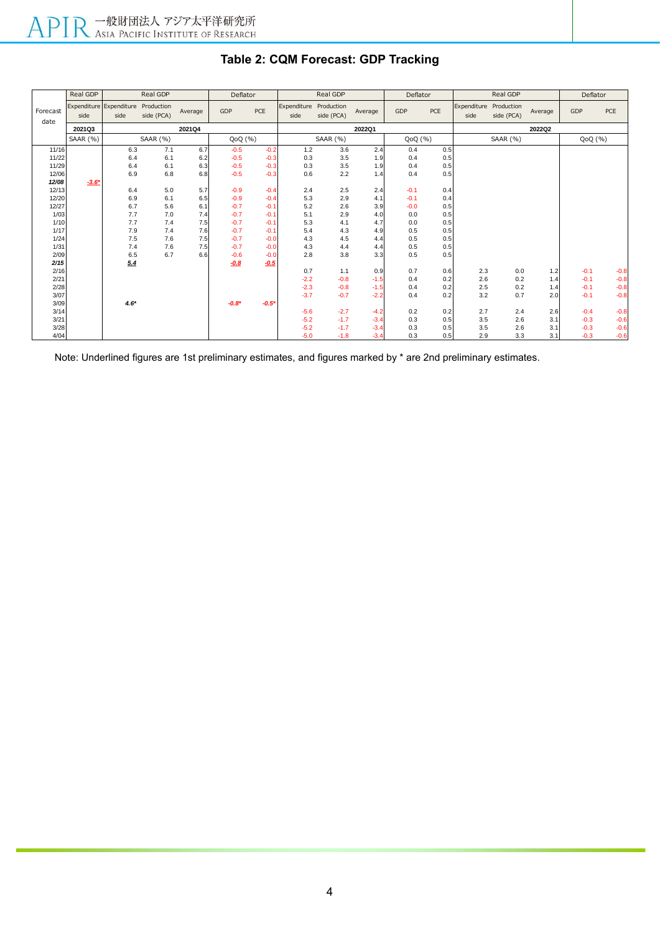|                  | Real GDP        |                                 | Real GDP                 |         | Deflator |         |                     | Real GDP                 |         | Deflator |     |                     | Real GDP                 |         | Deflator |        |
|------------------|-----------------|---------------------------------|--------------------------|---------|----------|---------|---------------------|--------------------------|---------|----------|-----|---------------------|--------------------------|---------|----------|--------|
| Forecast<br>date | side            | Expenditure Expenditure<br>side | Production<br>side (PCA) | Average | GDP      | PCE     | Expenditure<br>side | Production<br>side (PCA) | Average | GDP      | PCE | Expenditure<br>side | Production<br>side (PCA) | Average | GDP      | PCE    |
|                  | 2021Q3          |                                 |                          | 2021Q4  |          |         |                     |                          | 2022Q1  |          |     |                     |                          | 2022Q2  |          |        |
|                  | <b>SAAR (%)</b> |                                 | SAAR (%)                 |         | QoQ (%)  |         |                     | <b>SAAR (%)</b>          |         | QoQ(%)   |     |                     | <b>SAAR (%)</b>          |         | QoQ(%)   |        |
| 11/16            |                 | 6.3                             | 7.1                      | 6.7     | $-0.5$   | $-0.2$  | 1.2                 | 3.6                      | 2.4     | 0.4      | 0.5 |                     |                          |         |          |        |
| 11/22            |                 | 6.4                             | 6.1                      | 6.2     | $-0.5$   | $-0.3$  | 0.3                 | 3.5                      | 1.9     | 0.4      | 0.5 |                     |                          |         |          |        |
| 11/29            |                 | 6.4                             | 6.1                      | 6.3     | $-0.5$   | $-0.3$  | 0.3                 | 3.5                      | 1.9     | 0.4      | 0.5 |                     |                          |         |          |        |
| 12/06            |                 | 6.9                             | 6.8                      | 6.8     | $-0.5$   | $-0.3$  | 0.6                 | 2.2                      | 1.4     | 0.4      | 0.5 |                     |                          |         |          |        |
| 12/08            | $-3.6*$         |                                 |                          |         |          |         |                     |                          |         |          |     |                     |                          |         |          |        |
| 12/13            |                 | 6.4                             | 5.0                      | 5.7     | $-0.9$   | $-0.4$  | 2.4                 | 2.5                      | 2.4     | $-0.1$   | 0.4 |                     |                          |         |          |        |
| 12/20            |                 | 6.9                             | 6.1                      | 6.5     | $-0.9$   | $-0.4$  | 5.3                 | 2.9                      | 4.1     | $-0.1$   | 0.4 |                     |                          |         |          |        |
| 12/27            |                 | 6.7                             | 5.6                      | 6.1     | $-0.7$   | $-0.1$  | 5.2                 | 2.6                      | 3.9     | $-0.0$   | 0.5 |                     |                          |         |          |        |
| 1/03             |                 | 7.7                             | 7.0                      | 7.4     | $-0.7$   | $-0.1$  | 5.1                 | 2.9                      | 4.0     | 0.0      | 0.5 |                     |                          |         |          |        |
| 1/10             |                 | 7.7                             | 7.4                      | 7.5     | $-0.7$   | $-0.1$  | 5.3                 | 4.1                      | 4.7     | 0.0      | 0.5 |                     |                          |         |          |        |
| 1/17             |                 | 7.9                             | 7.4                      | 7.6     | $-0.7$   | $-0.1$  | 5.4                 | 4.3                      | 4.9     | 0.5      | 0.5 |                     |                          |         |          |        |
| 1/24             |                 | $7.5\,$                         | 7.6                      | 7.5     | $-0.7$   | $-0.0$  | 4.3                 | 4.5                      | 4.4     | 0.5      | 0.5 |                     |                          |         |          |        |
| 1/31             |                 | 7.4                             | 7.6                      | 7.5     | $-0.7$   | $-0.0$  | 4.3                 | 4.4                      | 4.4     | 0.5      | 0.5 |                     |                          |         |          |        |
| 2/09             |                 | 6.5                             | 6.7                      | 6.6     | $-0.6$   | $-0.0$  | 2.8                 | 3.8                      | 3.3     | 0.5      | 0.5 |                     |                          |         |          |        |
| 2/15             |                 | 5.4                             |                          |         | $-0.8$   | $-0.5$  |                     |                          |         |          |     |                     |                          |         |          |        |
| 2/16             |                 |                                 |                          |         |          |         | 0.7                 | 1.1                      | 0.9     | 0.7      | 0.6 | 2.3                 | 0.0                      | 1.2     | $-0.1$   | $-0.8$ |
| 2/21             |                 |                                 |                          |         |          |         | $-2.2$              | $-0.8$                   | $-1.5$  | 0.4      | 0.2 | 2.6                 | 0.2                      | 1.4     | $-0.1$   | $-0.8$ |
| 2/28             |                 |                                 |                          |         |          |         | $-2.3$              | $-0.8$                   | $-1.5$  | 0.4      | 0.2 | 2.5                 | 0.2                      | 1.4     | $-0.1$   | $-0.8$ |
| 3/07             |                 |                                 |                          |         |          |         | $-3.7$              | $-0.7$                   | $-2.2$  | 0.4      | 0.2 | 3.2                 | 0.7                      | 2.0     | $-0.1$   | $-0.8$ |
| 3/09             |                 | $4.6*$                          |                          |         | $-0.8*$  | $-0.5'$ |                     |                          |         |          |     |                     |                          |         |          |        |
| 3/14             |                 |                                 |                          |         |          |         | $-5.6$              | $-2.7$                   | $-4.2$  | 0.2      | 0.2 | 2.7                 | 2.4                      | 2.6     | $-0.4$   | $-0.8$ |
| 3/21             |                 |                                 |                          |         |          |         | $-5.2$              | $-1.7$                   | $-3.4$  | 0.3      | 0.5 | 3.5                 | 2.6                      | 3.1     | $-0.3$   | $-0.6$ |
| 3/28             |                 |                                 |                          |         |          |         | $-5.2$              | $-1.7$                   | $-3.4$  | 0.3      | 0.5 | 3.5                 | 2.6                      | 3.1     | $-0.3$   | $-0.6$ |
| 4/04             |                 |                                 |                          |         |          |         | $-5.0$              | $-1.8$                   | $-3.4$  | 0.3      | 0.5 | 2.9                 | 3.3                      | 3.1     | $-0.3$   | $-0.6$ |

# **Table 2: CQM Forecast: GDP Tracking**

Note: Underlined figures are 1st preliminary estimates, and figures marked by \* are 2nd preliminary estimates.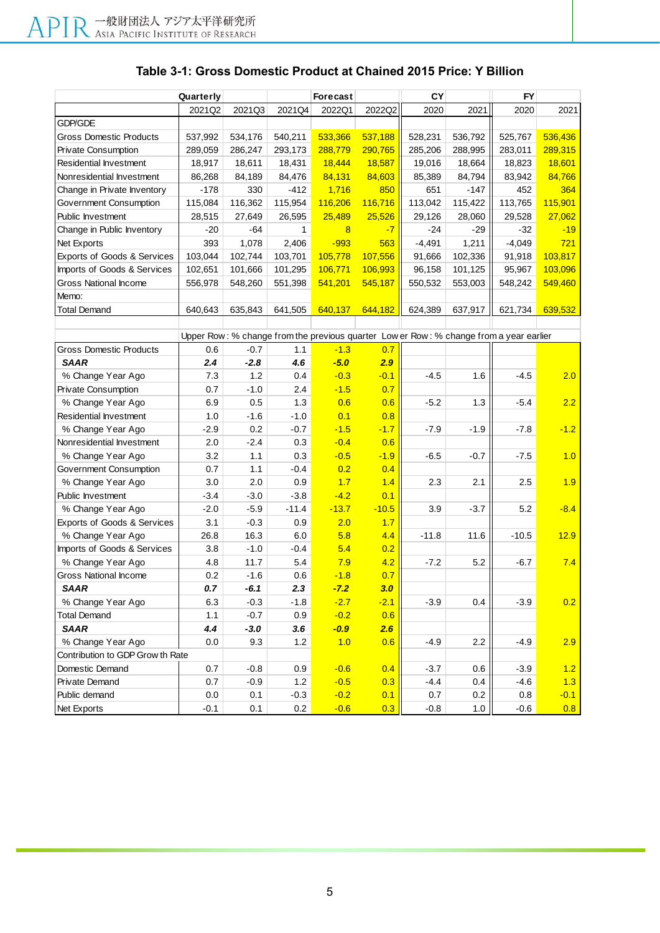## **Table 3-1: Gross Domestic Product at Chained 2015 Price: Y Billion**

| Quarterly                        |         |         |              | Forecast |         | CY       |         | FY                                                                                     |         |
|----------------------------------|---------|---------|--------------|----------|---------|----------|---------|----------------------------------------------------------------------------------------|---------|
|                                  | 2021Q2  | 2021Q3  | 2021Q4       | 2022Q1   | 2022Q2  | 2020     | 2021    | 2020                                                                                   | 2021    |
| <b>GDP/GDE</b>                   |         |         |              |          |         |          |         |                                                                                        |         |
| <b>Gross Domestic Products</b>   | 537,992 | 534,176 | 540,211      | 533,366  | 537,188 | 528,231  | 536,792 | 525,767                                                                                | 536,436 |
| Private Consumption              | 289,059 | 286,247 | 293,173      | 288,779  | 290,765 | 285,206  | 288,995 | 283,011                                                                                | 289,315 |
| Residential Investment           | 18,917  | 18,611  | 18,431       | 18,444   | 18,587  | 19,016   | 18,664  | 18,823                                                                                 | 18,601  |
| Nonresidential Investment        | 86,268  | 84,189  | 84,476       | 84,131   | 84,603  | 85,389   | 84,794  | 83,942                                                                                 | 84,766  |
| Change in Private Inventory      | $-178$  | 330     | $-412$       | 1,716    | 850     | 651      | $-147$  | 452                                                                                    | 364     |
| Government Consumption           | 115,084 | 116,362 | 115,954      | 116,206  | 116,716 | 113,042  | 115,422 | 113,765                                                                                | 115,901 |
| Public Investment                | 28,515  | 27,649  | 26,595       | 25,489   | 25,526  | 29,126   | 28,060  | 29,528                                                                                 | 27,062  |
| Change in Public Inventory       | $-20$   | -64     | $\mathbf{1}$ | 8        | $-7$    | $-24$    | -29     | $-32$                                                                                  | $-19$   |
| Net Exports                      | 393     | 1,078   | 2,406        | $-993$   | 563     | $-4,491$ | 1,211   | $-4,049$                                                                               | 721     |
| Exports of Goods & Services      | 103,044 | 102,744 | 103,701      | 105,778  | 107,556 | 91,666   | 102,336 | 91,918                                                                                 | 103,817 |
| Imports of Goods & Services      | 102,651 | 101,666 | 101,295      | 106,771  | 106,993 | 96,158   | 101,125 | 95,967                                                                                 | 103,096 |
| <b>Gross National Income</b>     | 556,978 | 548,260 | 551,398      | 541,201  | 545,187 | 550,532  | 553,003 | 548,242                                                                                | 549,460 |
| Memo:                            |         |         |              |          |         |          |         |                                                                                        |         |
| <b>Total Demand</b>              | 640,643 | 635,843 | 641,505      | 640,137  | 644,182 | 624,389  | 637,917 | 621,734                                                                                | 639,532 |
|                                  |         |         |              |          |         |          |         |                                                                                        |         |
|                                  |         |         |              |          |         |          |         | Upper Row: % change from the previous quarter Low er Row: % change from a year earlier |         |
| <b>Gross Domestic Products</b>   | 0.6     | $-0.7$  | 1.1          | $-1.3$   | 0.7     |          |         |                                                                                        |         |
| <b>SAAR</b>                      | 2.4     | $-2.8$  | 4.6          | $-5.0$   | 2.9     |          |         |                                                                                        |         |
| % Change Year Ago                | 7.3     | 1.2     | 0.4          | $-0.3$   | $-0.1$  | $-4.5$   | 1.6     | $-4.5$                                                                                 | 2.0     |
| <b>Private Consumption</b>       | 0.7     | $-1.0$  | 2.4          | $-1.5$   | 0.7     |          |         |                                                                                        |         |
| % Change Year Ago                | 6.9     | 0.5     | 1.3          | 0.6      | 0.6     | $-5.2$   | 1.3     | $-5.4$                                                                                 | 2.2     |
| Residential Investment           | 1.0     | $-1.6$  | $-1.0$       | 0.1      | 0.8     |          |         |                                                                                        |         |
| % Change Year Ago                | $-2.9$  | 0.2     | $-0.7$       | $-1.5$   | $-1.7$  | $-7.9$   | $-1.9$  | $-7.8$                                                                                 | $-1.2$  |
| Nonresidential Investment        | 2.0     | $-2.4$  | 0.3          | $-0.4$   | 0.6     |          |         |                                                                                        |         |
| % Change Year Ago                | 3.2     | 1.1     | 0.3          | $-0.5$   | $-1.9$  | $-6.5$   | $-0.7$  | $-7.5$                                                                                 | 1.0     |
| Government Consumption           | 0.7     | 1.1     | $-0.4$       | 0.2      | 0.4     |          |         |                                                                                        |         |
| % Change Year Ago                | 3.0     | 2.0     | 0.9          | 1.7      | 1.4     | 2.3      | 2.1     | 2.5                                                                                    | 1.9     |
| Public Investment                | $-3.4$  | $-3.0$  | $-3.8$       | $-4.2$   | 0.1     |          |         |                                                                                        |         |
| % Change Year Ago                | $-2.0$  | $-5.9$  | $-11.4$      | $-13.7$  | $-10.5$ | 3.9      | $-3.7$  | 5.2                                                                                    | $-8.4$  |
| Exports of Goods & Services      | 3.1     | $-0.3$  | 0.9          | 2.0      | 1.7     |          |         |                                                                                        |         |
| % Change Year Ago                | 26.8    | 16.3    | 6.0          | 5.8      | 4.4     | $-11.8$  | 11.6    | $-10.5$                                                                                | 12.9    |
| Imports of Goods & Services      | 3.8     | $-1.0$  | -0.4         | 5.4      | 0.2     |          |         |                                                                                        |         |
| % Change Year Ago                | 4.8     | 11.7    | 5.4          | 7.9      | 4.2     | $-7.2$   | 5.2     | $-6.7$                                                                                 | 7.4     |
| <b>Gross National Income</b>     | 0.2     | $-1.6$  | 0.6          | $-1.8$   | 0.7     |          |         |                                                                                        |         |
| <b>SAAR</b>                      | 0.7     | $-6.1$  | 2.3          | $-7.2$   | 3.0     |          |         |                                                                                        |         |
| % Change Year Ago                | 6.3     | $-0.3$  | $-1.8$       | $-2.7$   | $-2.1$  | $-3.9$   | 0.4     | $-3.9$                                                                                 | 0.2     |
| <b>Total Demand</b>              | 1.1     | $-0.7$  | 0.9          | $-0.2$   | 0.6     |          |         |                                                                                        |         |
| <b>SAAR</b>                      | 4.4     | $-3.0$  | 3.6          | $-0.9$   | 2.6     |          |         |                                                                                        |         |
| % Change Year Ago                | 0.0     | 9.3     | $1.2$        | 1.0      | 0.6     | $-4.9$   | 2.2     | $-4.9$                                                                                 | 2.9     |
| Contribution to GDP Grow th Rate |         |         |              |          |         |          |         |                                                                                        |         |
| Domestic Demand                  | 0.7     | $-0.8$  | 0.9          | $-0.6$   | 0.4     | $-3.7$   | 0.6     | $-3.9$                                                                                 | 1.2     |
| Private Demand                   | 0.7     | $-0.9$  | 1.2          | $-0.5$   | 0.3     | $-4.4$   | 0.4     | $-4.6$                                                                                 | 1.3     |
| Public demand                    | 0.0     | 0.1     | $-0.3$       | $-0.2$   | 0.1     | 0.7      | 0.2     | 0.8                                                                                    | $-0.1$  |
| Net Exports                      | $-0.1$  | 0.1     | 0.2          | $-0.6$   | 0.3     | $-0.8$   | $1.0\,$ | $-0.6$                                                                                 | 0.8     |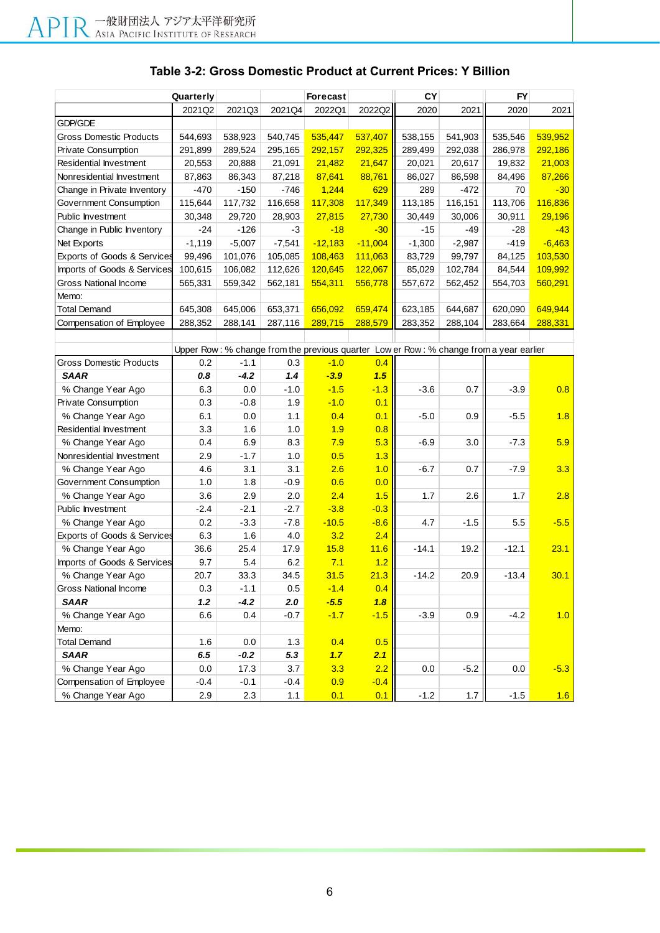| Quarterly                                                                              |          |          |          | Forecast    |           | CY       |          | <b>FY</b> |          |
|----------------------------------------------------------------------------------------|----------|----------|----------|-------------|-----------|----------|----------|-----------|----------|
|                                                                                        | 2021Q2   | 2021Q3   | 2021Q4   | 2022Q1      | 2022Q2    | 2020     | 2021     | 2020      | 2021     |
| GDP/GDE                                                                                |          |          |          |             |           |          |          |           |          |
| <b>Gross Domestic Products</b>                                                         | 544,693  | 538,923  | 540,745  | 535,447     | 537,407   | 538,155  | 541,903  | 535,546   | 539,952  |
| <b>Private Consumption</b>                                                             | 291,899  | 289,524  | 295,165  | 292,157     | 292,325   | 289,499  | 292,038  | 286,978   | 292,186  |
| <b>Residential Investment</b>                                                          | 20,553   | 20,888   | 21,091   | 21,482      | 21,647    | 20,021   | 20,617   | 19,832    | 21,003   |
| Nonresidential Investment                                                              | 87,863   | 86,343   | 87,218   | 87,641      | 88,761    | 86,027   | 86,598   | 84,496    | 87,266   |
| Change in Private Inventory                                                            | $-470$   | $-150$   | $-746$   | 1,244       | 629       | 289      | $-472$   | 70        | $-30$    |
| Government Consumption                                                                 | 115,644  | 117,732  | 116,658  | 117,308     | 117,349   | 113,185  | 116,151  | 113,706   | 116,836  |
| Public Investment                                                                      | 30,348   | 29,720   | 28,903   | 27,815      | 27,730    | 30,449   | 30,006   | 30,911    | 29,196   |
| Change in Public Inventory                                                             | $-24$    | $-126$   | $-3$     | $-18$       | $-30$     | $-15$    | -49      | -28       | $-43$    |
| Net Exports                                                                            | $-1,119$ | $-5,007$ | $-7,541$ | $-12,183$   | $-11,004$ | $-1,300$ | $-2,987$ | $-419$    | $-6,463$ |
| Exports of Goods & Services                                                            | 99,496   | 101,076  | 105,085  | 108,463     | 111,063   | 83,729   | 99,797   | 84,125    | 103,530  |
| Imports of Goods & Services                                                            | 100,615  | 106,082  | 112,626  | 120,645     | 122,067   | 85,029   | 102,784  | 84,544    | 109,992  |
| <b>Gross National Income</b>                                                           | 565,331  | 559,342  | 562,181  | 554,311     | 556,778   | 557,672  | 562,452  | 554,703   | 560,291  |
| Memo:                                                                                  |          |          |          |             |           |          |          |           |          |
| <b>Total Demand</b>                                                                    | 645,308  | 645,006  | 653,371  | 656,092     | 659,474   | 623,185  | 644,687  | 620,090   | 649,944  |
| Compensation of Employee                                                               | 288,352  | 288,141  | 287,116  | 289,715     | 288,579   | 283,352  | 288,104  | 283,664   | 288,331  |
|                                                                                        |          |          |          |             |           |          |          |           |          |
| Upper Row: % change from the previous quarter Low er Row: % change from a year earlier |          |          |          |             |           |          |          |           |          |
| <b>Gross Domestic Products</b>                                                         | 0.2      | $-1.1$   | 0.3      | $-1.0$      | 0.4       |          |          |           |          |
| <b>SAAR</b>                                                                            | 0.8      | $-4.2$   | 1.4      | $-3.9$      | 1.5       |          |          |           |          |
| % Change Year Ago                                                                      | 6.3      | 0.0      | $-1.0$   | $-1.5$      | $-1.3$    | $-3.6$   | 0.7      | $-3.9$    | 0.8      |
| Private Consumption                                                                    | 0.3      | $-0.8$   | 1.9      | $-1.0$      | 0.1       |          |          |           |          |
| % Change Year Ago                                                                      | 6.1      | 0.0      | 1.1      | 0.4         | 0.1       | $-5.0$   | 0.9      | $-5.5$    | 1.8      |
| Residential Investment                                                                 | 3.3      | 1.6      | 1.0      | 1.9         | 0.8       |          |          |           |          |
| % Change Year Ago                                                                      | 0.4      | 6.9      | 8.3      | 7.9         | 5.3       | $-6.9$   | 3.0      | $-7.3$    | 5.9      |
| Nonresidential Investment                                                              | 2.9      | $-1.7$   | 1.0      | 0.5         | 1.3       |          |          |           |          |
| % Change Year Ago                                                                      | 4.6      | 3.1      | 3.1      | 2.6         | 1.0       | $-6.7$   | 0.7      | $-7.9$    | 3.3      |
| Government Consumption                                                                 | 1.0      | 1.8      | $-0.9$   | 0.6         | 0.0       |          |          |           |          |
| % Change Year Ago                                                                      | 3.6      | 2.9      | 2.0      | 2.4         | 1.5       | 1.7      | 2.6      | 1.7       | 2.8      |
| Public Investment                                                                      | $-2.4$   | $-2.1$   | $-2.7$   | $-3.8$      | $-0.3$    |          |          |           |          |
| % Change Year Ago                                                                      | 0.2      | $-3.3$   | $-7.8$   | $-10.5$     | $-8.6$    | 4.7      | $-1.5$   | 5.5       | $-5.5$   |
| <b>Exports of Goods &amp; Services</b>                                                 | 6.3      | 1.6      | 4.0      | 3.2         | 2.4       |          |          |           |          |
| % Change Year Ago                                                                      | 36.6     | 25.4     | 17.9     | 15.8        | 11.6      | $-14.1$  | 19.2     | $-12.1$   | 23.1     |
| Imports of Goods & Services                                                            | 9.7      | 5.4      | 6.2      | 7.1         | 1.2       |          |          |           |          |
| % Change Year Ago                                                                      | 20.7     | 33.3     | 34.5     | 31.5        | 21.3      | $-14.2$  | 20.9     | $-13.4$   | 30.1     |
| Gross National Income                                                                  | 0.3      | $-1.1$   | 0.5      | <u>-1.4</u> | 0.4       |          |          |           |          |
| <b>SAAR</b>                                                                            | 1.2      | $-4.2$   | 2.0      | $-5.5$      | 1.8       |          |          |           |          |
| % Change Year Ago                                                                      | 6.6      | 0.4      | $-0.7$   | $-1.7$      | $-1.5$    | $-3.9$   | 0.9      | $-4.2$    | 1.0      |
| Memo:                                                                                  |          |          |          |             |           |          |          |           |          |
| <b>Total Demand</b>                                                                    | 1.6      | 0.0      | 1.3      | 0.4         | 0.5       |          |          |           |          |
| <b>SAAR</b>                                                                            | 6.5      | $-0.2$   | 5.3      | 1.7         | 2.1       |          |          |           |          |
| % Change Year Ago                                                                      | 0.0      | 17.3     | 3.7      | 3.3         | 2.2       | 0.0      | $-5.2$   | 0.0       | $-5.3$   |
| Compensation of Employee                                                               | $-0.4$   | $-0.1$   | $-0.4$   | 0.9         | $-0.4$    |          |          |           |          |
| % Change Year Ago                                                                      | 2.9      | 2.3      | 1.1      | 0.1         | 0.1       | $-1.2$   | 1.7      | $-1.5$    | 1.6      |

## **Table 3-2: Gross Domestic Product at Current Prices: Y Billion**